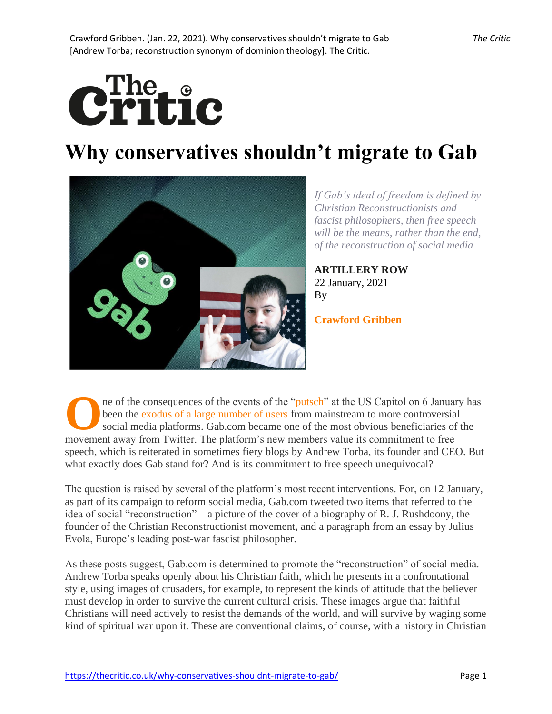

# **Why conservatives shouldn't migrate to Gab**



*If Gab's ideal of freedom is defined by Christian Reconstructionists and fascist philosophers, then free speech will be the means, rather than the end, of the reconstruction of social media*

**[ARTILLERY ROW](https://thecritic.co.uk/category/artillery-row/)** 22 January, 2021 By

**[Crawford Gribben](https://thecritic.co.uk/author/crawford-gribben/)**

ne of the consequences of the events of the ["putsch"](https://providencemag.com/2021/01/putsch-us-capitol-donald-trump/) at the US Capitol on 6 January has been the [exodus of a large number of users](https://www.independent.co.uk/life-style/gadgets-and-tech/trump-twitter-ban-parler-gab-b1785515.html) from mainstream to more controversial social media platforms. Gab.com became one of the most obvious beneficiaries of the The of the consequences of the events of the "putsch" at the US Capitol on 6 Januar been the exodus of a large number of users from mainstream to more controversia social media platforms. Gab.com became one of the most obv speech, which is reiterated in sometimes fiery blogs by Andrew Torba, its founder and CEO. But what exactly does Gab stand for? And is its commitment to free speech unequivocal?

The question is raised by several of the platform's most recent interventions. For, on 12 January, as part of its campaign to reform social media, Gab.com tweeted two items that referred to the idea of social "reconstruction" – a picture of the cover of a biography of R. J. Rushdoony, the founder of the Christian Reconstructionist movement, and a paragraph from an essay by Julius Evola, Europe's leading post-war fascist philosopher.

As these posts suggest, Gab.com is determined to promote the "reconstruction" of social media. Andrew Torba speaks openly about his Christian faith, which he presents in a confrontational style, using images of crusaders, for example, to represent the kinds of attitude that the believer must develop in order to survive the current cultural crisis. These images argue that faithful Christians will need actively to resist the demands of the world, and will survive by waging some kind of spiritual war upon it. These are conventional claims, of course, with a history in Christian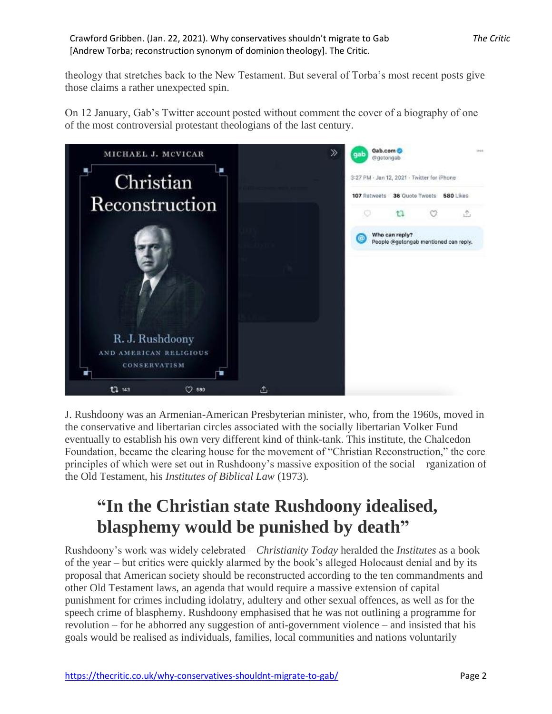theology that stretches back to the New Testament. But several of Torba's most recent posts give those claims a rather unexpected spin.

On 12 January, Gab's Twitter account posted without comment the cover of a biography of one of the most controversial protestant theologians of the last century.



J. Rushdoony was an Armenian-American Presbyterian minister, who, from the 1960s, moved in the conservative and libertarian circles associated with the socially libertarian Volker Fund eventually to establish his own very different kind of think-tank. This institute, the Chalcedon Foundation, became the clearing house for the movement of "Christian Reconstruction," the core principles of which were set out in Rushdoony's massive exposition of the social rganization of the Old Testament, his *Institutes of Biblical Law* (1973)*.*

## **"In the Christian state Rushdoony idealised, blasphemy would be punished by death"**

Rushdoony's work was widely celebrated – *Christianity Today* heralded the *Institutes* as a book of the year – but critics were quickly alarmed by the book's alleged Holocaust denial and by its proposal that American society should be reconstructed according to the ten commandments and other Old Testament laws, an agenda that would require a massive extension of capital punishment for crimes including idolatry, adultery and other sexual offences, as well as for the speech crime of blasphemy. Rushdoony emphasised that he was not outlining a programme for revolution – for he abhorred any suggestion of anti-government violence – and insisted that his goals would be realised as individuals, families, local communities and nations voluntarily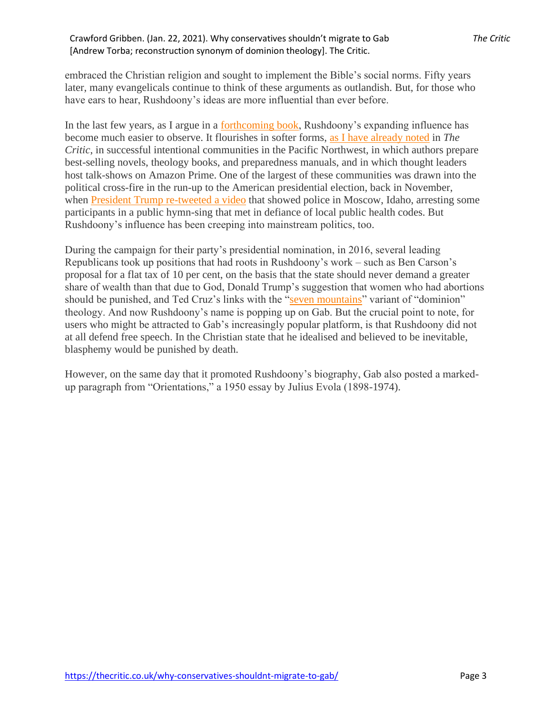embraced the Christian religion and sought to implement the Bible's social norms. Fifty years later, many evangelicals continue to think of these arguments as outlandish. But, for those who have ears to hear, Rushdoony's ideas are more influential than ever before.

In the last few years, as I argue in a [forthcoming book,](https://global.oup.com/academic/product/survival-and-resistance-in-evangelical-america-9780199370221?cc=gb&lang=en&) Rushdoony's expanding influence has become much easier to observe. It flourishes in softer forms, [as I have already noted](https://thecritic.co.uk/building-a-new-jerusalem-in-idaho/) in *The Critic*, in successful intentional communities in the Pacific Northwest, in which authors prepare best-selling novels, theology books, and preparedness manuals, and in which thought leaders host talk-shows on Amazon Prime. One of the largest of these communities was drawn into the political cross-fire in the run-up to the American presidential election, back in November, when [President Trump re-tweeted a video](https://blog.oup.com/2020/10/president-trump-and-the-war-against-american-christianity/) that showed police in Moscow, Idaho, arresting some participants in a public hymn-sing that met in defiance of local public health codes. But Rushdoony's influence has been creeping into mainstream politics, too.

During the campaign for their party's presidential nomination, in 2016, several leading Republicans took up positions that had roots in Rushdoony's work – such as Ben Carson's proposal for a flat tax of 10 per cent, on the basis that the state should never demand a greater share of wealth than that due to God, Donald Trump's suggestion that women who had abortions should be punished, and Ted Cruz's links with the ["seven mountains"](https://www.washingtonpost.com/national/religion/ted-cruzs-campaign-is-fueled-by-a-dominionist-vision-for-america-commentary/2016/02/04/86373158-cb6a-11e5-b9ab-26591104bb19_story.html) variant of "dominion" theology. And now Rushdoony's name is popping up on Gab. But the crucial point to note, for users who might be attracted to Gab's increasingly popular platform, is that Rushdoony did not at all defend free speech. In the Christian state that he idealised and believed to be inevitable, blasphemy would be punished by death.

However, on the same day that it promoted Rushdoony's biography, Gab also posted a markedup paragraph from "Orientations," a 1950 essay by Julius Evola (1898-1974).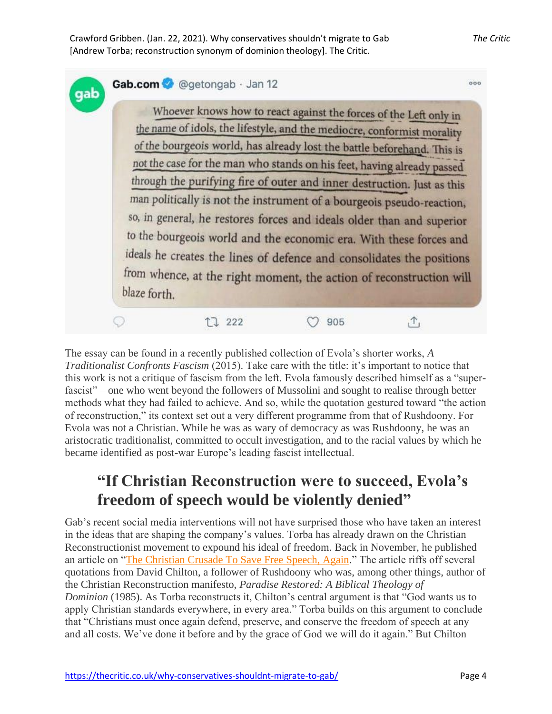|  |                                                                                                                                                                                                                                                                                                     |  |  | Whoever knows how to react against the forces of the Left only in       |  |
|--|-----------------------------------------------------------------------------------------------------------------------------------------------------------------------------------------------------------------------------------------------------------------------------------------------------|--|--|-------------------------------------------------------------------------|--|
|  |                                                                                                                                                                                                                                                                                                     |  |  | the name of idols, the lifestyle, and the mediocre, conformist morality |  |
|  |                                                                                                                                                                                                                                                                                                     |  |  | of the bourgeois world, has already lost the battle beforehand. This is |  |
|  | not the case for the man who stands on his feet, having already passed<br>through the purifying fire of outer and inner destruction. Just as this<br>man politically is not the instrument of a bourgeois pseudo-reaction,<br>so, in general, he restores forces and ideals older than and superior |  |  |                                                                         |  |
|  |                                                                                                                                                                                                                                                                                                     |  |  |                                                                         |  |
|  |                                                                                                                                                                                                                                                                                                     |  |  |                                                                         |  |
|  |                                                                                                                                                                                                                                                                                                     |  |  |                                                                         |  |
|  | to the bourgeois world and the economic era. With these forces and<br>ideals he creates the lines of defence and consolidates the positions                                                                                                                                                         |  |  |                                                                         |  |
|  |                                                                                                                                                                                                                                                                                                     |  |  |                                                                         |  |
|  |                                                                                                                                                                                                                                                                                                     |  |  |                                                                         |  |
|  |                                                                                                                                                                                                                                                                                                     |  |  | from whence, at the right moment, the action of reconstruction will     |  |
|  | blaze forth.                                                                                                                                                                                                                                                                                        |  |  |                                                                         |  |

The essay can be found in a recently published collection of Evola's shorter works, *A Traditionalist Confronts Fascism* (2015). Take care with the title: it's important to notice that this work is not a critique of fascism from the left. Evola famously described himself as a "superfascist" – one who went beyond the followers of Mussolini and sought to realise through better methods what they had failed to achieve. And so, while the quotation gestured toward "the action of reconstruction," its context set out a very different programme from that of Rushdoony. For Evola was not a Christian. While he was as wary of democracy as was Rushdoony, he was an aristocratic traditionalist, committed to occult investigation, and to the racial values by which he became identified as post-war Europe's leading fascist intellectual.

### **"If Christian Reconstruction were to succeed, Evola's freedom of speech would be violently denied"**

Gab's recent social media interventions will not have surprised those who have taken an interest in the ideas that are shaping the company's values. Torba has already drawn on the Christian Reconstructionist movement to expound his ideal of freedom. Back in November, he published an article on ["The Christian Crusade To Save Free Speech, Again.](https://news.gab.com/2020/11/17/the-christian-crusade-to-save-free-speech-again/)" The article riffs off several quotations from David Chilton, a follower of Rushdoony who was, among other things, author of the Christian Reconstruction manifesto, *Paradise Restored: A Biblical Theology of Dominion* (1985). As Torba reconstructs it, Chilton's central argument is that "God wants us to apply Christian standards everywhere, in every area." Torba builds on this argument to conclude that "Christians must once again defend, preserve, and conserve the freedom of speech at any and all costs. We've done it before and by the grace of God we will do it again." But Chilton